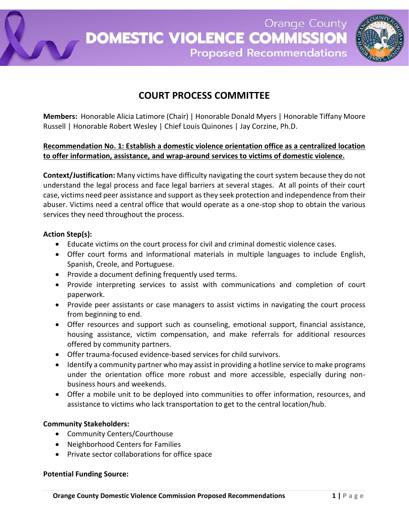

# **COURT PROCESS COMMITTEE**

**Members:** Honorable Alicia Latimore (Chair) | Honorable Donald Myers | Honorable Tiffany Moore Russell | Honorable Robert Wesley | Chief Louis Quinones | Jay Corzine, Ph.D.

## **Recommendation No. 1: Establish a domestic violence orientation office as a centralized location to offer information, assistance, and wrap-around services to victims of domestic violence.**

**Context/Justification:** Many victims have difficulty navigating the court system because they do not understand the legal process and face legal barriers at several stages. At all points of their court case, victims need peer assistance and support as they seek protection and independence from their abuser. Victims need a central office that would operate as a one-stop shop to obtain the various services they need throughout the process.

## **Action Step(s):**

- Educate victims on the court process for civil and criminal domestic violence cases.
- Offer court forms and informational materials in multiple languages to include English, Spanish, Creole, and Portuguese.
- Provide a document defining frequently used terms.
- Provide interpreting services to assist with communications and completion of court paperwork.
- Provide peer assistants or case managers to assist victims in navigating the court process from beginning to end.
- Offer resources and support such as counseling, emotional support, financial assistance, housing assistance, victim compensation, and make referrals for additional resources offered by community partners.
- Offer trauma-focused evidence-based services for child survivors.
- Identify a community partner who may assist in providing a hotline service to make programs under the orientation office more robust and more accessible, especially during nonbusiness hours and weekends.
- Offer a mobile unit to be deployed into communities to offer information, resources, and assistance to victims who lack transportation to get to the central location/hub.

### **Community Stakeholders:**

- Community Centers/Courthouse
- Neighborhood Centers for Families
- Private sector collaborations for office space

### **Potential Funding Source:**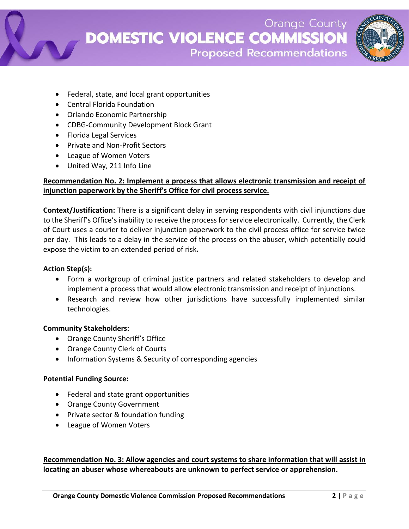

- Federal, state, and local grant opportunities
- Central Florida Foundation
- Orlando Economic Partnership
- CDBG-Community Development Block Grant
- Florida Legal Services
- Private and Non-Profit Sectors
- League of Women Voters
- United Way, 211 Info Line

# **Recommendation No. 2: Implement a process that allows electronic transmission and receipt of injunction paperwork by the Sheriff's Office for civil process service.**

**Context/Justification:** There is a significant delay in serving respondents with civil injunctions due to the Sheriff's Office's inability to receive the process for service electronically. Currently, the Clerk of Court uses a courier to deliver injunction paperwork to the civil process office for service twice per day. This leads to a delay in the service of the process on the abuser, which potentially could expose the victim to an extended period of risk**.**

# **Action Step(s):**

- Form a workgroup of criminal justice partners and related stakeholders to develop and implement a process that would allow electronic transmission and receipt of injunctions.
- Research and review how other jurisdictions have successfully implemented similar technologies.

# **Community Stakeholders:**

- Orange County Sheriff's Office
- Orange County Clerk of Courts
- Information Systems & Security of corresponding agencies

# **Potential Funding Source:**

- Federal and state grant opportunities
- Orange County Government
- Private sector & foundation funding
- League of Women Voters

# **Recommendation No. 3: Allow agencies and court systems to share information that will assist in locating an abuser whose whereabouts are unknown to perfect service or apprehension.**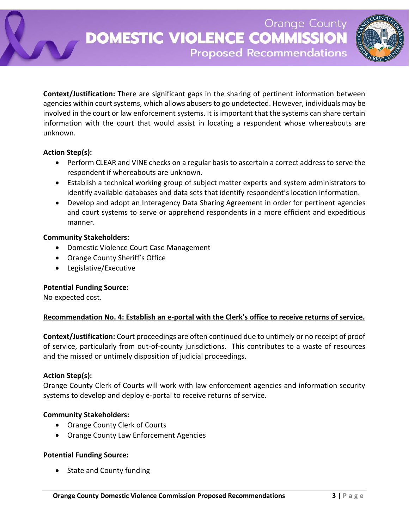

**Context/Justification:** There are significant gaps in the sharing of pertinent information between agencies within court systems, which allows abusers to go undetected. However, individuals may be involved in the court or law enforcement systems. It is important that the systems can share certain information with the court that would assist in locating a respondent whose whereabouts are unknown.

# **Action Step(s):**

- Perform CLEAR and VINE checks on a regular basis to ascertain a correct address to serve the respondent if whereabouts are unknown.
- Establish a technical working group of subject matter experts and system administrators to identify available databases and data sets that identify respondent's location information.
- Develop and adopt an Interagency Data Sharing Agreement in order for pertinent agencies and court systems to serve or apprehend respondents in a more efficient and expeditious manner.

# **Community Stakeholders:**

- Domestic Violence Court Case Management
- Orange County Sheriff's Office
- Legislative/Executive

# **Potential Funding Source:**

No expected cost.

# **Recommendation No. 4: Establish an e-portal with the Clerk's office to receive returns of service.**

**Context/Justification:** Court proceedings are often continued due to untimely or no receipt of proof of service, particularly from out-of-county jurisdictions. This contributes to a waste of resources and the missed or untimely disposition of judicial proceedings.

### **Action Step(s):**

Orange County Clerk of Courts will work with law enforcement agencies and information security systems to develop and deploy e-portal to receive returns of service.

# **Community Stakeholders:**

- Orange County Clerk of Courts
- Orange County Law Enforcement Agencies

### **Potential Funding Source:**

• State and County funding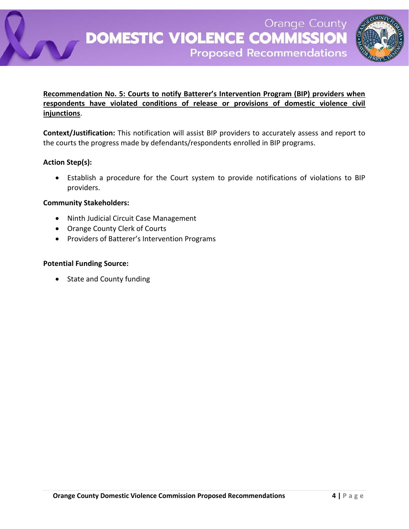

# **Recommendation No. 5: Courts to notify Batterer's Intervention Program (BIP) providers when respondents have violated conditions of release or provisions of domestic violence civil injunctions**.

**Context/Justification:** This notification will assist BIP providers to accurately assess and report to the courts the progress made by defendants/respondents enrolled in BIP programs.

# **Action Step(s):**

 Establish a procedure for the Court system to provide notifications of violations to BIP providers.

## **Community Stakeholders:**

- Ninth Judicial Circuit Case Management
- Orange County Clerk of Courts
- Providers of Batterer's Intervention Programs

## **Potential Funding Source:**

• State and County funding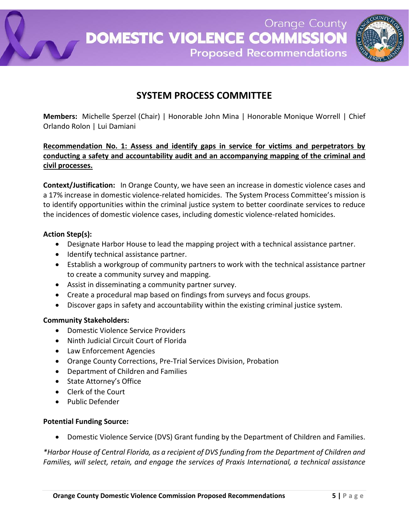

# **SYSTEM PROCESS COMMITTEE**

**Members:** Michelle Sperzel (Chair) | Honorable John Mina | Honorable Monique Worrell | Chief Orlando Rolon | Lui Damiani

# **Recommendation No. 1: Assess and identify gaps in service for victims and perpetrators by conducting a safety and accountability audit and an accompanying mapping of the criminal and civil processes.**

**Context/Justification:** In Orange County, we have seen an increase in domestic violence cases and a 17% increase in domestic violence-related homicides. The System Process Committee's mission is to identify opportunities within the criminal justice system to better coordinate services to reduce the incidences of domestic violence cases, including domestic violence-related homicides.

## **Action Step(s):**

- Designate Harbor House to lead the mapping project with a technical assistance partner.
- Identify technical assistance partner.
- Establish a workgroup of community partners to work with the technical assistance partner to create a community survey and mapping.
- Assist in disseminating a community partner survey.
- Create a procedural map based on findings from surveys and focus groups.
- Discover gaps in safety and accountability within the existing criminal justice system.

# **Community Stakeholders:**

- Domestic Violence Service Providers
- Ninth Judicial Circuit Court of Florida
- Law Enforcement Agencies
- Orange County Corrections, Pre-Trial Services Division, Probation
- Department of Children and Families
- State Attorney's Office
- Clerk of the Court
- Public Defender

# **Potential Funding Source:**

Domestic Violence Service (DVS) Grant funding by the Department of Children and Families.

*\*Harbor House of Central Florida, as a recipient of DVS funding from the Department of Children and Families, will select, retain, and engage the services of Praxis International, a technical assistance*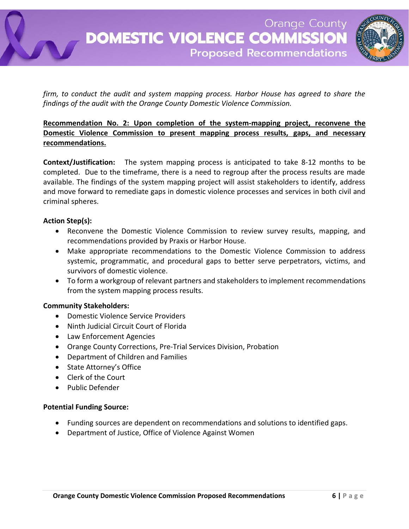

*firm, to conduct the audit and system mapping process. Harbor House has agreed to share the findings of the audit with the Orange County Domestic Violence Commission.* 

# **Recommendation No. 2: Upon completion of the system-mapping project, reconvene the Domestic Violence Commission to present mapping process results, gaps, and necessary recommendations.**

**Context/Justification:** The system mapping process is anticipated to take 8-12 months to be completed. Due to the timeframe, there is a need to regroup after the process results are made available. The findings of the system mapping project will assist stakeholders to identify, address and move forward to remediate gaps in domestic violence processes and services in both civil and criminal spheres.

# **Action Step(s):**

- Reconvene the Domestic Violence Commission to review survey results, mapping, and recommendations provided by Praxis or Harbor House.
- Make appropriate recommendations to the Domestic Violence Commission to address systemic, programmatic, and procedural gaps to better serve perpetrators, victims, and survivors of domestic violence.
- To form a workgroup of relevant partners and stakeholders to implement recommendations from the system mapping process results.

# **Community Stakeholders:**

- Domestic Violence Service Providers
- Ninth Judicial Circuit Court of Florida
- Law Enforcement Agencies
- Orange County Corrections, Pre-Trial Services Division, Probation
- Department of Children and Families
- State Attorney's Office
- Clerk of the Court
- Public Defender

# **Potential Funding Source:**

- Funding sources are dependent on recommendations and solutions to identified gaps.
- Department of Justice, Office of Violence Against Women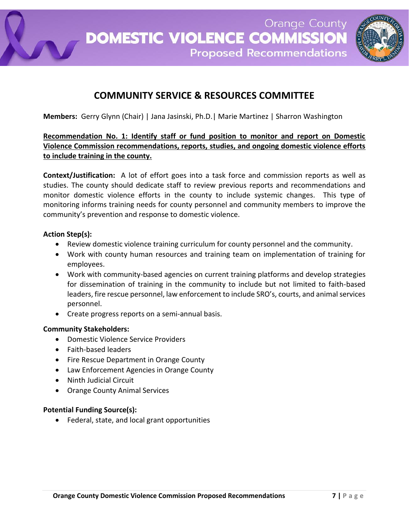

# **COMMUNITY SERVICE & RESOURCES COMMITTEE**

**Members:** Gerry Glynn (Chair) | Jana Jasinski, Ph.D.| Marie Martinez | Sharron Washington

# **Recommendation No. 1: Identify staff or fund position to monitor and report on Domestic Violence Commission recommendations, reports, studies, and ongoing domestic violence efforts to include training in the county.**

**Context/Justification:** A lot of effort goes into a task force and commission reports as well as studies. The county should dedicate staff to review previous reports and recommendations and monitor domestic violence efforts in the county to include systemic changes. This type of monitoring informs training needs for county personnel and community members to improve the community's prevention and response to domestic violence.

# **Action Step(s):**

- Review domestic violence training curriculum for county personnel and the community.
- Work with county human resources and training team on implementation of training for employees.
- Work with community-based agencies on current training platforms and develop strategies for dissemination of training in the community to include but not limited to faith-based leaders, fire rescue personnel, law enforcement to include SRO's, courts, and animal services personnel.
- Create progress reports on a semi-annual basis.

# **Community Stakeholders:**

- Domestic Violence Service Providers
- Faith-based leaders
- Fire Rescue Department in Orange County
- Law Enforcement Agencies in Orange County
- Ninth Judicial Circuit
- Orange County Animal Services

# **Potential Funding Source(s):**

• Federal, state, and local grant opportunities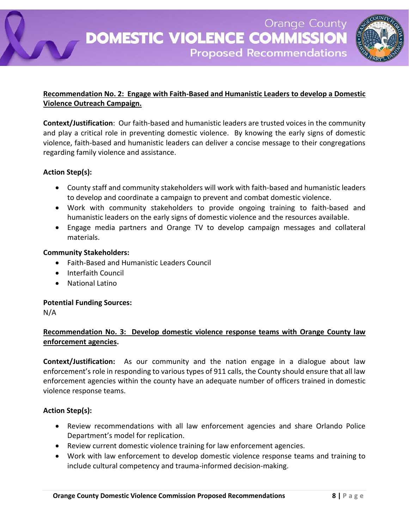

# **Recommendation No. 2: Engage with Faith-Based and Humanistic Leaders to develop a Domestic Violence Outreach Campaign.**

**Context/Justification**: Our faith-based and humanistic leaders are trusted voices in the community and play a critical role in preventing domestic violence. By knowing the early signs of domestic violence, faith-based and humanistic leaders can deliver a concise message to their congregations regarding family violence and assistance.

# **Action Step(s):**

- County staff and community stakeholders will work with faith-based and humanistic leaders to develop and coordinate a campaign to prevent and combat domestic violence.
- Work with community stakeholders to provide ongoing training to faith-based and humanistic leaders on the early signs of domestic violence and the resources available.
- Engage media partners and Orange TV to develop campaign messages and collateral materials.

## **Community Stakeholders:**

- Faith-Based and Humanistic Leaders Council
- Interfaith Council
- National Latino

# **Potential Funding Sources:**

N/A

# **Recommendation No. 3: Develop domestic violence response teams with Orange County law enforcement agencies.**

**Context/Justification:** As our community and the nation engage in a dialogue about law enforcement's role in responding to various types of 911 calls, the County should ensure that all law enforcement agencies within the county have an adequate number of officers trained in domestic violence response teams.

# **Action Step(s):**

- Review recommendations with all law enforcement agencies and share Orlando Police Department's model for replication.
- Review current domestic violence training for law enforcement agencies.
- Work with law enforcement to develop domestic violence response teams and training to include cultural competency and trauma-informed decision-making.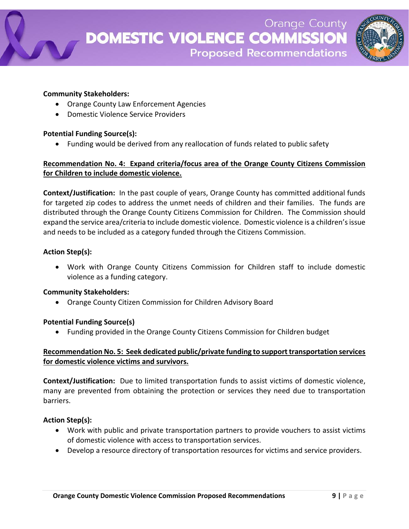

## **Community Stakeholders:**

- Orange County Law Enforcement Agencies
- Domestic Violence Service Providers

## **Potential Funding Source(s):**

Funding would be derived from any reallocation of funds related to public safety

# **Recommendation No. 4: Expand criteria/focus area of the Orange County Citizens Commission for Children to include domestic violence.**

**Context/Justification:** In the past couple of years, Orange County has committed additional funds for targeted zip codes to address the unmet needs of children and their families. The funds are distributed through the Orange County Citizens Commission for Children. The Commission should expand the service area/criteria to include domestic violence. Domestic violence is a children's issue and needs to be included as a category funded through the Citizens Commission.

# **Action Step(s):**

 Work with Orange County Citizens Commission for Children staff to include domestic violence as a funding category.

### **Community Stakeholders:**

Orange County Citizen Commission for Children Advisory Board

# **Potential Funding Source(s)**

Funding provided in the Orange County Citizens Commission for Children budget

# **Recommendation No. 5: Seek dedicated public/private funding to support transportation services for domestic violence victims and survivors.**

**Context/Justification:** Due to limited transportation funds to assist victims of domestic violence, many are prevented from obtaining the protection or services they need due to transportation barriers.

# **Action Step(s):**

- Work with public and private transportation partners to provide vouchers to assist victims of domestic violence with access to transportation services.
- Develop a resource directory of transportation resources for victims and service providers.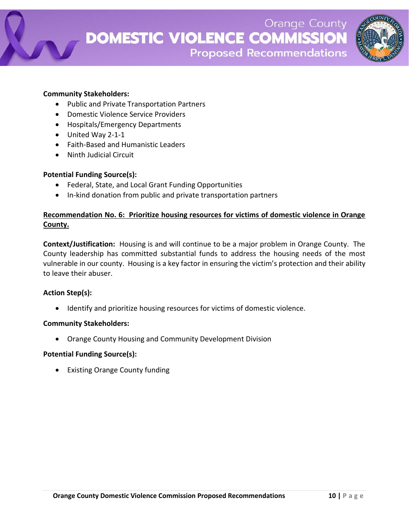

### **Community Stakeholders:**

- Public and Private Transportation Partners
- Domestic Violence Service Providers
- Hospitals/Emergency Departments
- United Way 2-1-1
- Faith-Based and Humanistic Leaders
- Ninth Judicial Circuit

#### **Potential Funding Source(s):**

- Federal, State, and Local Grant Funding Opportunities
- In-kind donation from public and private transportation partners

# **Recommendation No. 6: Prioritize housing resources for victims of domestic violence in Orange County.**

**Context/Justification:** Housing is and will continue to be a major problem in Orange County. The County leadership has committed substantial funds to address the housing needs of the most vulnerable in our county. Housing is a key factor in ensuring the victim's protection and their ability to leave their abuser.

#### **Action Step(s):**

• Identify and prioritize housing resources for victims of domestic violence.

#### **Community Stakeholders:**

Orange County Housing and Community Development Division

#### **Potential Funding Source(s):**

• Existing Orange County funding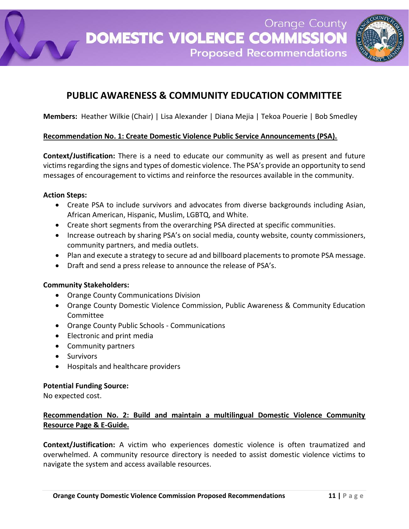

# **PUBLIC AWARENESS & COMMUNITY EDUCATION COMMITTEE**

**Members:** Heather Wilkie (Chair) | Lisa Alexander | Diana Mejia | Tekoa Pouerie | Bob Smedley

## **Recommendation No. 1: Create Domestic Violence Public Service Announcements (PSA).**

**Context/Justification:** There is a need to educate our community as well as present and future victims regarding the signs and types of domestic violence. The PSA's provide an opportunity to send messages of encouragement to victims and reinforce the resources available in the community.

### **Action Steps:**

- Create PSA to include survivors and advocates from diverse backgrounds including Asian, African American, Hispanic, Muslim, LGBTQ, and White.
- Create short segments from the overarching PSA directed at specific communities.
- Increase outreach by sharing PSA's on social media, county website, county commissioners, community partners, and media outlets.
- Plan and execute a strategy to secure ad and billboard placements to promote PSA message.
- Draft and send a press release to announce the release of PSA's.

### **Community Stakeholders:**

- Orange County Communications Division
- Orange County Domestic Violence Commission, Public Awareness & Community Education Committee
- Orange County Public Schools Communications
- Electronic and print media
- Community partners
- **•** Survivors
- Hospitals and healthcare providers

### **Potential Funding Source:**

No expected cost.

# **Recommendation No. 2: Build and maintain a multilingual Domestic Violence Community Resource Page & E-Guide.**

**Context/Justification:** A victim who experiences domestic violence is often traumatized and overwhelmed. A community resource directory is needed to assist domestic violence victims to navigate the system and access available resources.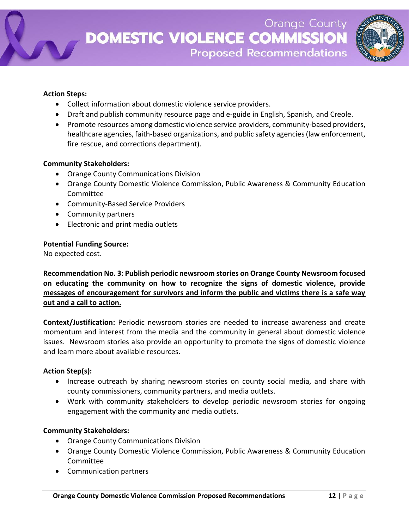

## **Action Steps:**

- Collect information about domestic violence service providers.
- Draft and publish community resource page and e-guide in English, Spanish, and Creole.
- Promote resources among domestic violence service providers, community-based providers, healthcare agencies, faith-based organizations, and public safety agencies (law enforcement, fire rescue, and corrections department).

## **Community Stakeholders:**

- Orange County Communications Division
- Orange County Domestic Violence Commission, Public Awareness & Community Education Committee
- Community-Based Service Providers
- Community partners
- Electronic and print media outlets

## **Potential Funding Source:**

No expected cost.

**Recommendation No. 3: Publish periodic newsroom stories on Orange County Newsroom focused on educating the community on how to recognize the signs of domestic violence, provide messages of encouragement for survivors and inform the public and victims there is a safe way out and a call to action.**

**Context/Justification:** Periodic newsroom stories are needed to increase awareness and create momentum and interest from the media and the community in general about domestic violence issues. Newsroom stories also provide an opportunity to promote the signs of domestic violence and learn more about available resources.

# **Action Step(s):**

- Increase outreach by sharing newsroom stories on county social media, and share with county commissioners, community partners, and media outlets.
- Work with community stakeholders to develop periodic newsroom stories for ongoing engagement with the community and media outlets.

### **Community Stakeholders:**

- Orange County Communications Division
- Orange County Domestic Violence Commission, Public Awareness & Community Education Committee
- Communication partners